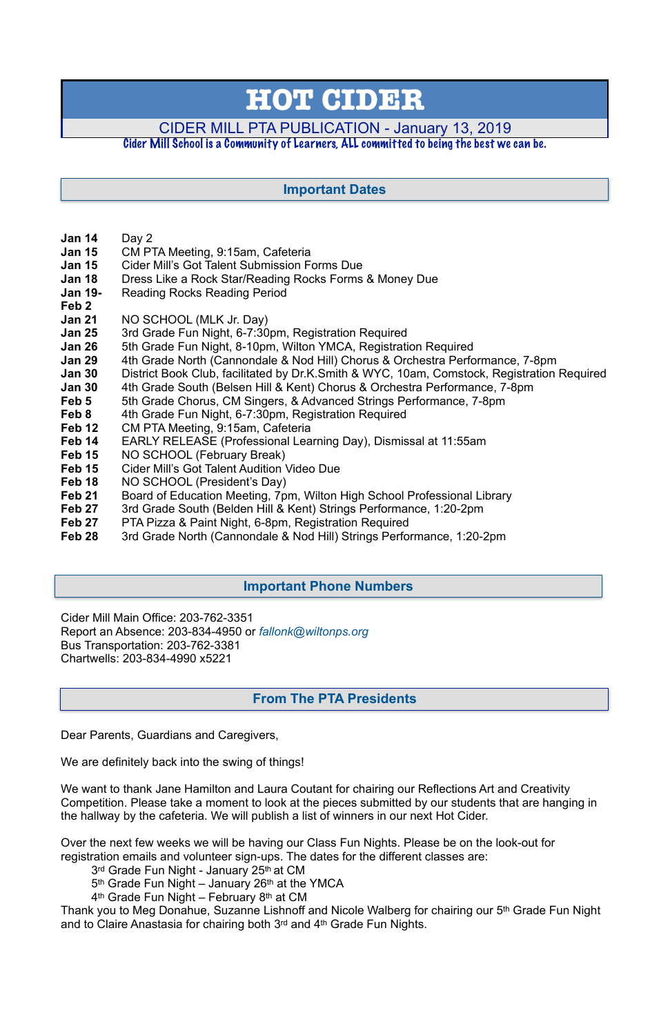- **Jan 14** Day 2
- **Jan 15** CM PTA Meeting, 9:15am, Cafeteria
- **Jan 15** Cider Mill's Got Talent Submission Forms Due
- **Jan 18** Dress Like a Rock Star/Reading Rocks Forms & Money Due
- **Jan 19-** Reading Rocks Reading Period
- **Feb 2**
- **Jan 21** NO SCHOOL (MLK Jr. Day)
- **Jan 25** 3rd Grade Fun Night, 6-7:30pm, Registration Required
- **Jan 26** 5th Grade Fun Night, 8-10pm, Wilton YMCA, Registration Required
- **Jan 29** 4th Grade North (Cannondale & Nod Hill) Chorus & Orchestra Performance, 7-8pm
- **Jan 30** District Book Club, facilitated by Dr.K.Smith & WYC, 10am, Comstock, Registration Required
- **Jan 30** 4th Grade South (Belsen Hill & Kent) Chorus & Orchestra Performance, 7-8pm
- **Feb 5** 5th Grade Chorus, CM Singers, & Advanced Strings Performance, 7-8pm
- **Feb 8** 4th Grade Fun Night, 6-7:30pm, Registration Required
- **Feb 12** CM PTA Meeting, 9:15am, Cafeteria
- **Feb 14** EARLY RELEASE (Professional Learning Day), Dismissal at 11:55am
- **Feb 15** NO SCHOOL (February Break)
- **Feb 15** Cider Mill's Got Talent Audition Video Due
- Feb 18 NO SCHOOL (President's Day)
- **Feb 21** Board of Education Meeting, 7pm, Wilton High School Professional Library
- **Feb 27** 3rd Grade South (Belden Hill & Kent) Strings Performance, 1:20-2pm
- **Feb 27** PTA Pizza & Paint Night, 6-8pm, Registration Required
- **Feb 28** 3rd Grade North (Cannondale & Nod Hill) Strings Performance, 1:20-2pm

Cider Mill Main Office: 203-762-3351 Report an Absence: 203-834-4950 or *[fallonk@wiltonps.org](mailto:fallonk@wiltonps.org)* Bus Transportation: 203-762-3381 Chartwells: 203-834-4990 x5221

Dear Parents, Guardians and Caregivers,

We are definitely back into the swing of things!

We want to thank Jane Hamilton and Laura Coutant for chairing our Reflections Art and Creativity Competition. Please take a moment to look at the pieces submitted by our students that are hanging in the hallway by the cafeteria. We will publish a list of winners in our next Hot Cider.

Over the next few weeks we will be having our Class Fun Nights. Please be on the look-out for registration emails and volunteer sign-ups. The dates for the different classes are:

3<sup>rd</sup> Grade Fun Night - January 25<sup>th</sup> at CM

5th Grade Fun Night – January 26th at the YMCA

4<sup>th</sup> Grade Fun Night – February 8<sup>th</sup> at CM

Thank you to Meg Donahue, Suzanne Lishnoff and Nicole Walberg for chairing our 5th Grade Fun Night and to Claire Anastasia for chairing both 3rd and 4th Grade Fun Nights.

# **HOT CIDER**

# CIDER MILL PTA PUBLICATION - January 13, 2019

# Cider Mill School is a Community of Learners, ALL committed to being the best we can be.

# **From The PTA Presidents**

# **Important Dates**

# **Important Phone Numbers**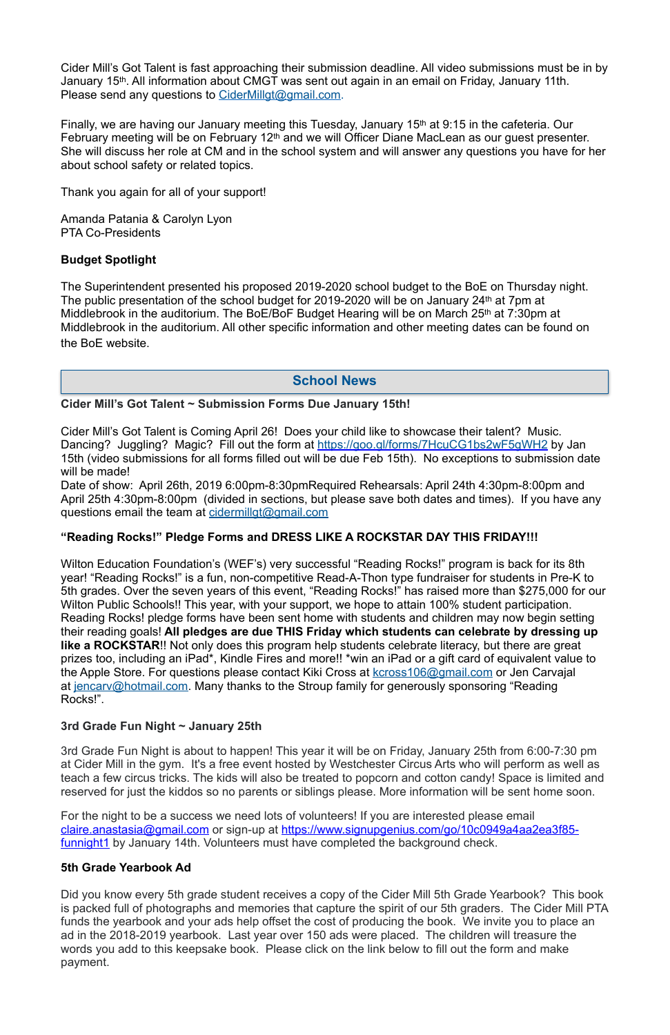Cider Mill's Got Talent is fast approaching their submission deadline. All video submissions must be in by January 15<sup>th</sup>. All information about CMGT was sent out again in an email on Friday, January 11th. Please send any questions to [CiderMillgt@gmail.com.](mailto:CiderMillgt@gmail.com)

Finally, we are having our January meeting this Tuesday, January 15th at 9:15 in the cafeteria. Our February meeting will be on February 12th and we will Officer Diane MacLean as our guest presenter. She will discuss her role at CM and in the school system and will answer any questions you have for her about school safety or related topics.

Thank you again for all of your support!

Amanda Patania & Carolyn Lyon PTA Co-Presidents

# **Budget Spotlight**

The Superintendent presented his proposed 2019-2020 school budget to the BoE on Thursday night. The public presentation of the school budget for 2019-2020 will be on January 24<sup>th</sup> at 7pm at Middlebrook in the auditorium. The BoE/BoF Budget Hearing will be on March 25<sup>th</sup> at 7:30pm at Middlebrook in the auditorium. All other specific information and other meeting dates can be found on the BoE website.

# **Cider Mill's Got Talent ~ Submission Forms Due January 15th!**

Cider Mill's Got Talent is Coming April 26! Does your child like to showcase their talent? Music. Dancing? Juggling? Magic? Fill out the form at [https://goo.gl/forms/7HcuCG1bs2wF5gWH2](http://track.spe.schoolmessenger.com/f/a/wAatnyBAjmGyPfBrXCqU2g~~/AAAAAQA~/RgReGm4rP0QmaHR0cHM6Ly9nb28uZ2wvZm9ybXMvN0hjdUNHMWJzMndGNWdXSDJXB3NjaG9vbG1CCgAAqzo5XGFWcdRSG2NsYXJpc3NhY2FubmF2aW5vQHlhaG9vLmNvbVgEAAAAAQ~~) by Jan 15th (video submissions for all forms filled out will be due Feb 15th). No exceptions to submission date will be made!

Date of show: April 26th, 2019 6:00pm-8:30pmRequired Rehearsals: April 24th 4:30pm-8:00pm and April 25th 4:30pm-8:00pm (divided in sections, but please save both dates and times). If you have any questions email the team at [cidermillgt@gmail.com](mailto:cidermillgt@gmail.com)

For the night to be a success we need lots of volunteers! If you are interested please email [claire.anastasia@gmail.com](mailto:claire.anastasia@gmail.com) or sign-up at [https://www.signupgenius.com/go/10c0949a4aa2ea3f85](https://www.signupgenius.com/go/10c0949a4aa2ea3f85-funnight1) [funnight1](https://www.signupgenius.com/go/10c0949a4aa2ea3f85-funnight1) by January 14th. Volunteers must have completed the background check.

# **"Reading Rocks!" Pledge Forms and DRESS LIKE A ROCKSTAR DAY THIS FRIDAY!!!**

Wilton Education Foundation's (WEF's) very successful "Reading Rocks!" program is back for its 8th year! "Reading Rocks!" is a fun, non-competitive Read-A-Thon type fundraiser for students in Pre-K to 5th grades. Over the seven years of this event, "Reading Rocks!" has raised more than \$275,000 for our Wilton Public Schools!! This year, with your support, we hope to attain 100% student participation. Reading Rocks! pledge forms have been sent home with students and children may now begin setting their reading goals! **All pledges are due THIS Friday which students can celebrate by dressing up like a ROCKSTAR**!! Not only does this program help students celebrate literacy, but there are great prizes too, including an iPad\*, Kindle Fires and more!! \*win an iPad or a gift card of equivalent value to the Apple Store. For questions please contact Kiki Cross at **kcross106@gmail.com** or Jen Carvajal at [jencarv@hotmail.com](mailto:jencarv@hotmail.com). Many thanks to the Stroup family for generously sponsoring "Reading Rocks!".

# **3rd Grade Fun Night ~ January 25th**

3rd Grade Fun Night is about to happen! This year it will be on Friday, January 25th from 6:00-7:30 pm at Cider Mill in the gym. It's a free event hosted by Westchester Circus Arts who will perform as well as teach a few circus tricks. The kids will also be treated to popcorn and cotton candy! Space is limited and reserved for just the kiddos so no parents or siblings please. More information will be sent home soon.

#### **5th Grade Yearbook Ad**

Did you know every 5th grade student receives a copy of the Cider Mill 5th Grade Yearbook? This book is packed full of photographs and memories that capture the spirit of our 5th graders. The Cider Mill PTA funds the yearbook and your ads help offset the cost of producing the book. We invite you to place an ad in the 2018-2019 yearbook. Last year over 150 ads were placed. The children will treasure the words you add to this keepsake book. Please click on the link below to fill out the form and make payment.

# **School News**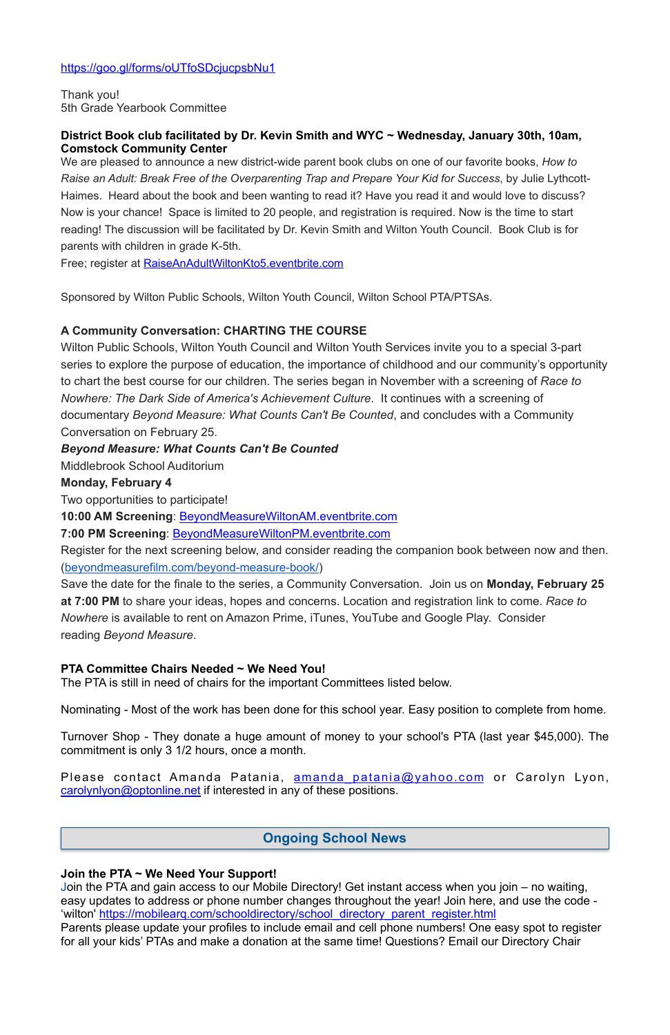# <https://goo.gl/forms/oUTfoSDcjucpsbNu1>

Thank you! 5th Grade Yearbook Committee

## **District Book club facilitated by Dr. Kevin Smith and WYC ~ Wednesday, January 30th, 10am, Comstock Community Center**

We are pleased to announce a new district-wide parent book clubs on one of our favorite books, *How to Raise an Adult: Break Free of the Overparenting Trap and Prepare Your Kid for Success*, by Julie Lythcott-Haimes. Heard about the book and been wanting to read it? Have you read it and would love to discuss? Now is your chance! Space is limited to 20 people, and registration is required. Now is the time to start reading! The discussion will be facilitated by Dr. Kevin Smith and Wilton Youth Council. Book Club is for parents with children in grade K-5th.

Free; register at **[RaiseAnAdultWiltonKto5.eventbrite.com](http://raiseanadultwiltonkto5.eventbrite.com/)** 

Sponsored by Wilton Public Schools, Wilton Youth Council, Wilton School PTA/PTSAs.

# **A Community Conversation: CHARTING THE COURSE**

Wilton Public Schools, Wilton Youth Council and Wilton Youth Services invite you to a special 3-part series to explore the purpose of education, the importance of childhood and our community's opportunity to chart the best course for our children. The series began in November with a screening of *Race to Nowhere: The Dark Side of America's Achievement Culture*. It continues with a screening of documentary *Beyond Measure: What Counts Can't Be Counted*, and concludes with a Community Conversation on February 25.

Please contact Amanda Patania, amanda patania@yahoo.com or Carolyn Lyon, [carolynlyon@optonline.net](mailto:carolynlyon@optonline.net) if interested in any of these positions.

# *Beyond Measure: What Counts Can't Be Counted*

Middlebrook School Auditorium

# **Monday, February 4**

Two opportunities to participate!

**10:00 AM Screening**: [BeyondMeasureWiltonAM.eventbrite.com](http://beyondmeasurewiltonam.eventbrite.com/)

**7:00 PM Screening**: [BeyondMeasureWiltonPM.eventbrite.com](http://beyondmeasurewiltonpm.eventbrite.com/)

Register for the next screening below, and consider reading the companion book between now and then. ([beyondmeasurefilm.com/beyond-measure-book/](http://beyondmeasurefilm.com/beyond-measure-book/))

Save the date for the finale to the series, a Community Conversation. Join us on **Monday, February 25 at 7:00 PM** to share your ideas, hopes and concerns. Location and registration link to come. *Race to Nowhere* is available to rent on Amazon Prime, iTunes, YouTube and Google Play. Consider reading *Beyond Measure*.

# **PTA Committee Chairs Needed ~ We Need You!**

The PTA is still in need of chairs for the important Committees listed below.

Nominating - Most of the work has been done for this school year. Easy position to complete from home.

Turnover Shop - They donate a huge amount of money to your school's PTA (last year \$45,000). The commitment is only 3 1/2 hours, once a month.

#### **Join the PTA ~ We Need Your Support!**

Join the PTA and gain access to our Mobile Directory! Get instant access when you join – no waiting, easy updates to address or phone number changes throughout the year! Join here, and use the code - 'wilton' [https://mobilearq.com/schooldirectory/school\\_directory\\_parent\\_register.html](https://mobilearq.com/schooldirectory/school_directory_parent_register.html)  Parents please update your profiles to include email and cell phone numbers! One easy spot to register for all your kids' PTAs and make a donation at the same time! Questions? Email our Directory Chair

# **Ongoing School News**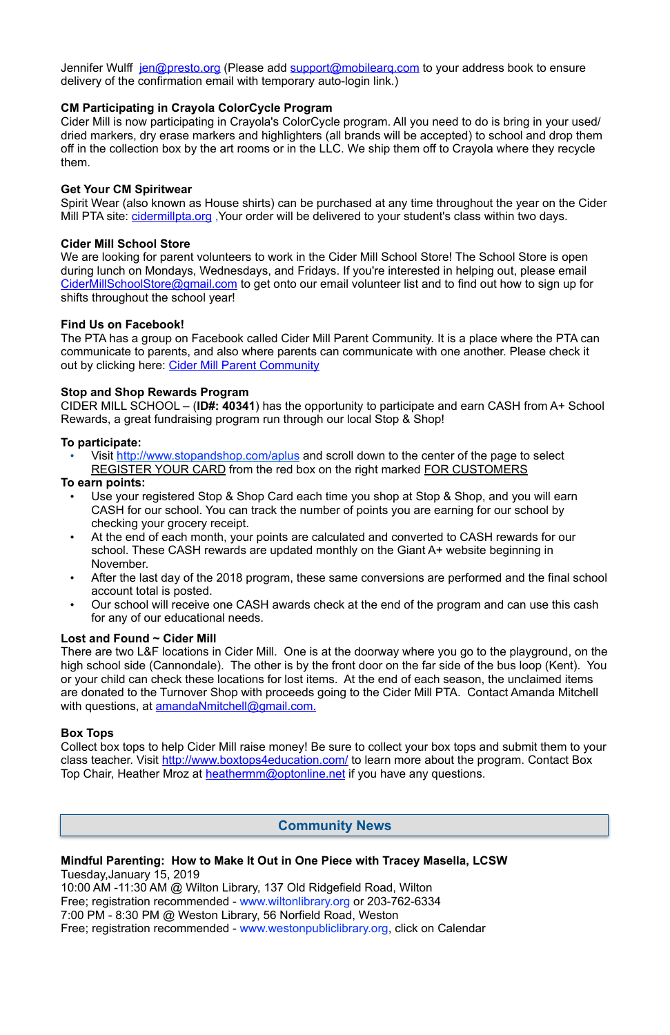Jennifer Wulff [jen@presto.org](mailto:jen@presto.org) (Please add support@mobilearg.com to your address book to ensure delivery of the confirmation email with temporary auto-login link.)

# **CM Participating in Crayola ColorCycle Program**

Spirit Wear (also known as House shirts) can be purchased at any time throughout the year on the Cider Mill PTA site: cidermillpta.org, Your order will be delivered to your student's class within two days.

Cider Mill is now participating in Crayola's ColorCycle program. All you need to do is bring in your used/ dried markers, dry erase markers and highlighters (all brands will be accepted) to school and drop them off in the collection box by the art rooms or in the LLC. We ship them off to Crayola where they recycle them.

## **Get Your CM Spiritwear**

The PTA has a group on Facebook called Cider Mill Parent Community. It is a place where the PTA can communicate to parents, and also where parents can communicate with one another. Please check it out by clicking here: [Cider Mill Parent Community](https://www.facebook.com/groups/1168962513117647/)

## **Cider Mill School Store**

We are looking for parent volunteers to work in the Cider Mill School Store! The School Store is open during lunch on Mondays, Wednesdays, and Fridays. If you're interested in helping out, please email [CiderMillSchoolStore@gmail.com](mailto:CiderMillSchoolStore@gmail.com) to get onto our email volunteer list and to find out how to sign up for shifts throughout the school year!

## **Find Us on Facebook!**

- Use your registered Stop & Shop Card each time you shop at Stop & Shop, and you will earn CASH for our school. You can track the number of points you are earning for our school by checking your grocery receipt.
- At the end of each month, your points are calculated and converted to CASH rewards for our school. These CASH rewards are updated monthly on the Giant A+ website beginning in November.
- After the last day of the 2018 program, these same conversions are performed and the final school account total is posted.
- Our school will receive one CASH awards check at the end of the program and can use this cash for any of our educational needs.

There are two L&F locations in Cider Mill. One is at the doorway where you go to the playground, on the high school side (Cannondale). The other is by the front door on the far side of the bus loop (Kent). You or your child can check these locations for lost items. At the end of each season, the unclaimed items are donated to the Turnover Shop with proceeds going to the Cider Mill PTA. Contact Amanda Mitchell with questions, at [amandaNmitchell@gmail.com](mailto:amandaNmitchell@gmail.com).

# **Stop and Shop Rewards Program**

Collect box tops to help Cider Mill raise money! Be sure to collect your box tops and submit them to your class teacher. Visit <http://www.boxtops4education.com/> to learn more about the program. Contact Box Top Chair, Heather Mroz at [heathermm@optonline.net](mailto:heathermm@optonline.net) if you have any questions.

CIDER MILL SCHOOL – (**ID#: 40341**) has the opportunity to participate and earn CASH from A+ School Rewards, a great fundraising program run through our local Stop & Shop!

# **To participate:**

Visit <http://www.stopandshop.com/aplus> and scroll down to the center of the page to select REGISTER YOUR CARD from the red box on the right marked FOR CUSTOMERS

# **To earn points:**

# **Lost and Found ~ Cider Mill**

# **Box Tops**

**Mindful Parenting: How to Make It Out in One Piece with Tracey Masella, LCSW**  Tuesday,January 15, 2019 10:00 AM -11:30 AM @ Wilton Library, 137 Old Ridgefield Road, Wilton Free; registration recommended - [www.wiltonlibrary.org](http://www.wiltonlibrary.org/) or 203-762-6334 7:00 PM - 8:30 PM @ Weston Library, 56 Norfield Road, Weston Free; registration recommended - [www.westonpubliclibrary.org](http://www.westonpubliclibrary.org/), click on Calendar

# **Community News**